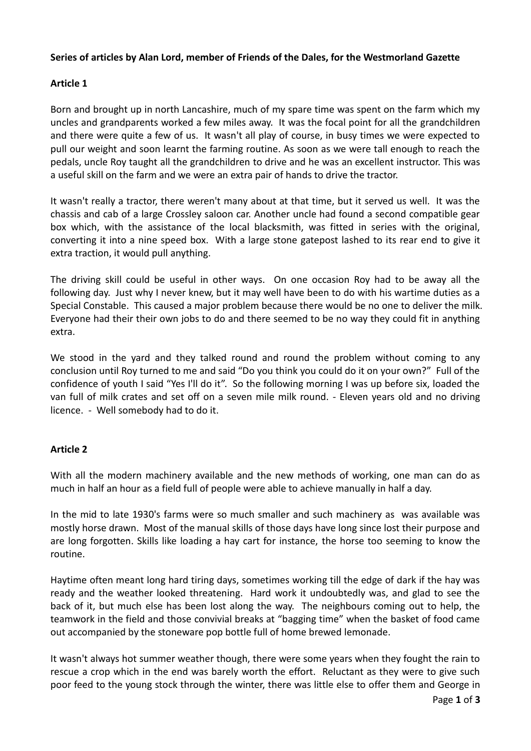## **Series of articles by Alan Lord, member of Friends of the Dales, for the Westmorland Gazette**

## **Article 1**

Born and brought up in north Lancashire, much of my spare time was spent on the farm which my uncles and grandparents worked a few miles away. It was the focal point for all the grandchildren and there were quite a few of us. It wasn't all play of course, in busy times we were expected to pull our weight and soon learnt the farming routine. As soon as we were tall enough to reach the pedals, uncle Roy taught all the grandchildren to drive and he was an excellent instructor. This was a useful skill on the farm and we were an extra pair of hands to drive the tractor.

It wasn't really a tractor, there weren't many about at that time, but it served us well. It was the chassis and cab of a large Crossley saloon car. Another uncle had found a second compatible gear box which, with the assistance of the local blacksmith, was fitted in series with the original, converting it into a nine speed box. With a large stone gatepost lashed to its rear end to give it extra traction, it would pull anything.

The driving skill could be useful in other ways. On one occasion Roy had to be away all the following day. Just why I never knew, but it may well have been to do with his wartime duties as a Special Constable. This caused a major problem because there would be no one to deliver the milk. Everyone had their their own jobs to do and there seemed to be no way they could fit in anything extra.

We stood in the yard and they talked round and round the problem without coming to any conclusion until Roy turned to me and said "Do you think you could do it on your own?" Full of the confidence of youth I said "Yes I'll do it". So the following morning I was up before six, loaded the van full of milk crates and set off on a seven mile milk round. - Eleven years old and no driving licence. - Well somebody had to do it.

## **Article 2**

With all the modern machinery available and the new methods of working, one man can do as much in half an hour as a field full of people were able to achieve manually in half a day.

In the mid to late 1930's farms were so much smaller and such machinery as was available was mostly horse drawn. Most of the manual skills of those days have long since lost their purpose and are long forgotten. Skills like loading a hay cart for instance, the horse too seeming to know the routine.

Haytime often meant long hard tiring days, sometimes working till the edge of dark if the hay was ready and the weather looked threatening. Hard work it undoubtedly was, and glad to see the back of it, but much else has been lost along the way. The neighbours coming out to help, the teamwork in the field and those convivial breaks at "bagging time" when the basket of food came out accompanied by the stoneware pop bottle full of home brewed lemonade.

It wasn't always hot summer weather though, there were some years when they fought the rain to rescue a crop which in the end was barely worth the effort. Reluctant as they were to give such poor feed to the young stock through the winter, there was little else to offer them and George in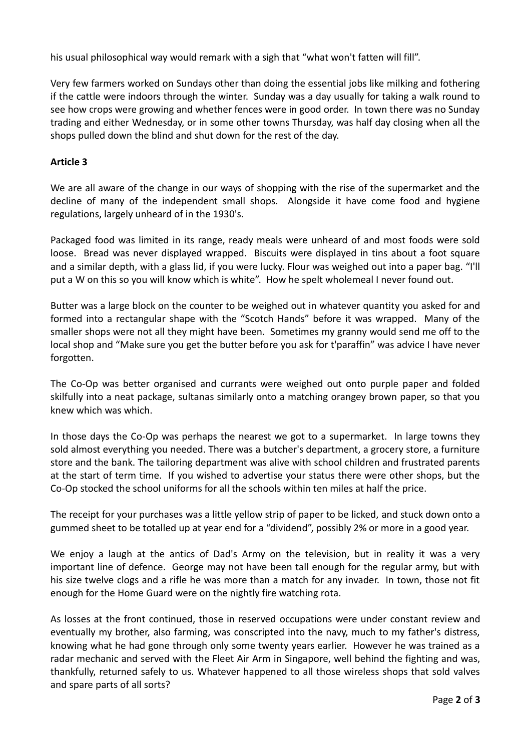his usual philosophical way would remark with a sigh that "what won't fatten will fill".

Very few farmers worked on Sundays other than doing the essential jobs like milking and fothering if the cattle were indoors through the winter. Sunday was a day usually for taking a walk round to see how crops were growing and whether fences were in good order. In town there was no Sunday trading and either Wednesday, or in some other towns Thursday, was half day closing when all the shops pulled down the blind and shut down for the rest of the day.

## **Article 3**

We are all aware of the change in our ways of shopping with the rise of the supermarket and the decline of many of the independent small shops. Alongside it have come food and hygiene regulations, largely unheard of in the 1930's.

Packaged food was limited in its range, ready meals were unheard of and most foods were sold loose. Bread was never displayed wrapped. Biscuits were displayed in tins about a foot square and a similar depth, with a glass lid, if you were lucky. Flour was weighed out into a paper bag. "I'll put a W on this so you will know which is white". How he spelt wholemeal I never found out.

Butter was a large block on the counter to be weighed out in whatever quantity you asked for and formed into a rectangular shape with the "Scotch Hands" before it was wrapped. Many of the smaller shops were not all they might have been. Sometimes my granny would send me off to the local shop and "Make sure you get the butter before you ask for t'paraffin" was advice I have never forgotten.

The Co-Op was better organised and currants were weighed out onto purple paper and folded skilfully into a neat package, sultanas similarly onto a matching orangey brown paper, so that you knew which was which.

In those days the Co-Op was perhaps the nearest we got to a supermarket. In large towns they sold almost everything you needed. There was a butcher's department, a grocery store, a furniture store and the bank. The tailoring department was alive with school children and frustrated parents at the start of term time. If you wished to advertise your status there were other shops, but the Co-Op stocked the school uniforms for all the schools within ten miles at half the price.

The receipt for your purchases was a little yellow strip of paper to be licked, and stuck down onto a gummed sheet to be totalled up at year end for a "dividend", possibly 2% or more in a good year.

We enjoy a laugh at the antics of Dad's Army on the television, but in reality it was a very important line of defence. George may not have been tall enough for the regular army, but with his size twelve clogs and a rifle he was more than a match for any invader. In town, those not fit enough for the Home Guard were on the nightly fire watching rota.

As losses at the front continued, those in reserved occupations were under constant review and eventually my brother, also farming, was conscripted into the navy, much to my father's distress, knowing what he had gone through only some twenty years earlier. However he was trained as a radar mechanic and served with the Fleet Air Arm in Singapore, well behind the fighting and was, thankfully, returned safely to us. Whatever happened to all those wireless shops that sold valves and spare parts of all sorts?